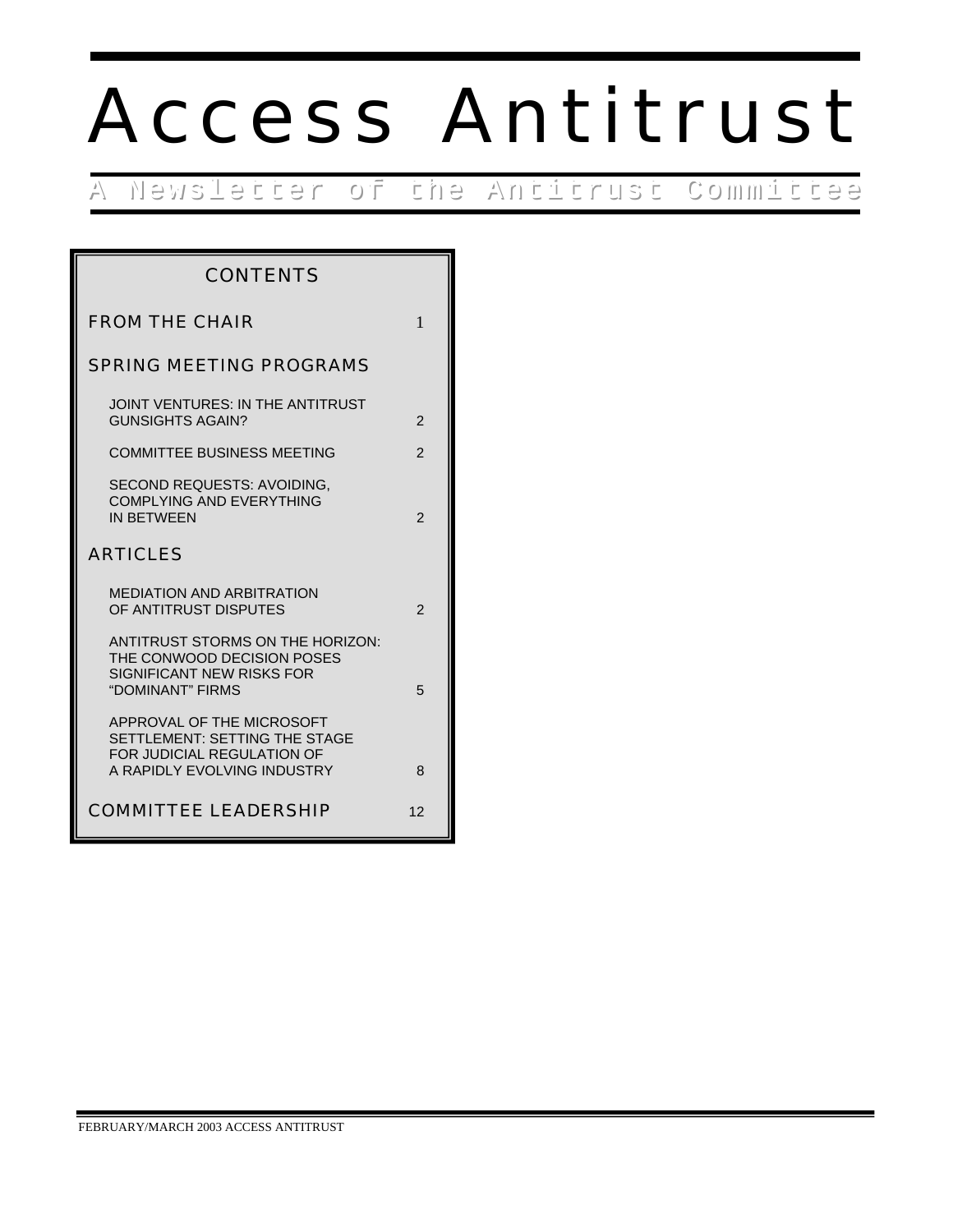# Access Antitrust

A Newsletter of the Antitrust Committee

| <b>CONTENTS</b>                                                                                                         |                |
|-------------------------------------------------------------------------------------------------------------------------|----------------|
| <b>FROM THE CHAIR</b>                                                                                                   | $\mathbf{1}$   |
| <b>SPRING MEETING PROGRAMS</b>                                                                                          |                |
| JOINT VENTURES: IN THE ANTITRUST<br>GUNSIGHTS AGAIN?                                                                    | 2              |
| <b>COMMITTEE BUSINESS MEETING</b>                                                                                       | $\overline{2}$ |
| SECOND REQUESTS: AVOIDING,<br><b>COMPLYING AND EVERYTHING</b><br><b>IN BETWEEN</b>                                      | $\mathfrak{p}$ |
| <b>ARTICLES</b>                                                                                                         |                |
| <b>MEDIATION AND ARBITRATION</b><br>OF ANTITRUST DISPUTES                                                               | $\mathcal{P}$  |
| ANTITRUST STORMS ON THE HORIZON:<br>THE CONWOOD DECISION POSES<br>SIGNIFICANT NEW RISKS FOR<br>"DOMINANT" FIRMS         | 5              |
| APPROVAL OF THE MICROSOFT<br>SETTLEMENT: SETTING THE STAGE<br>FOR JUDICIAL REGULATION OF<br>A RAPIDLY EVOLVING INDUSTRY | 8              |
| <b>COMMITTEE LEADERSHIP</b>                                                                                             | 12             |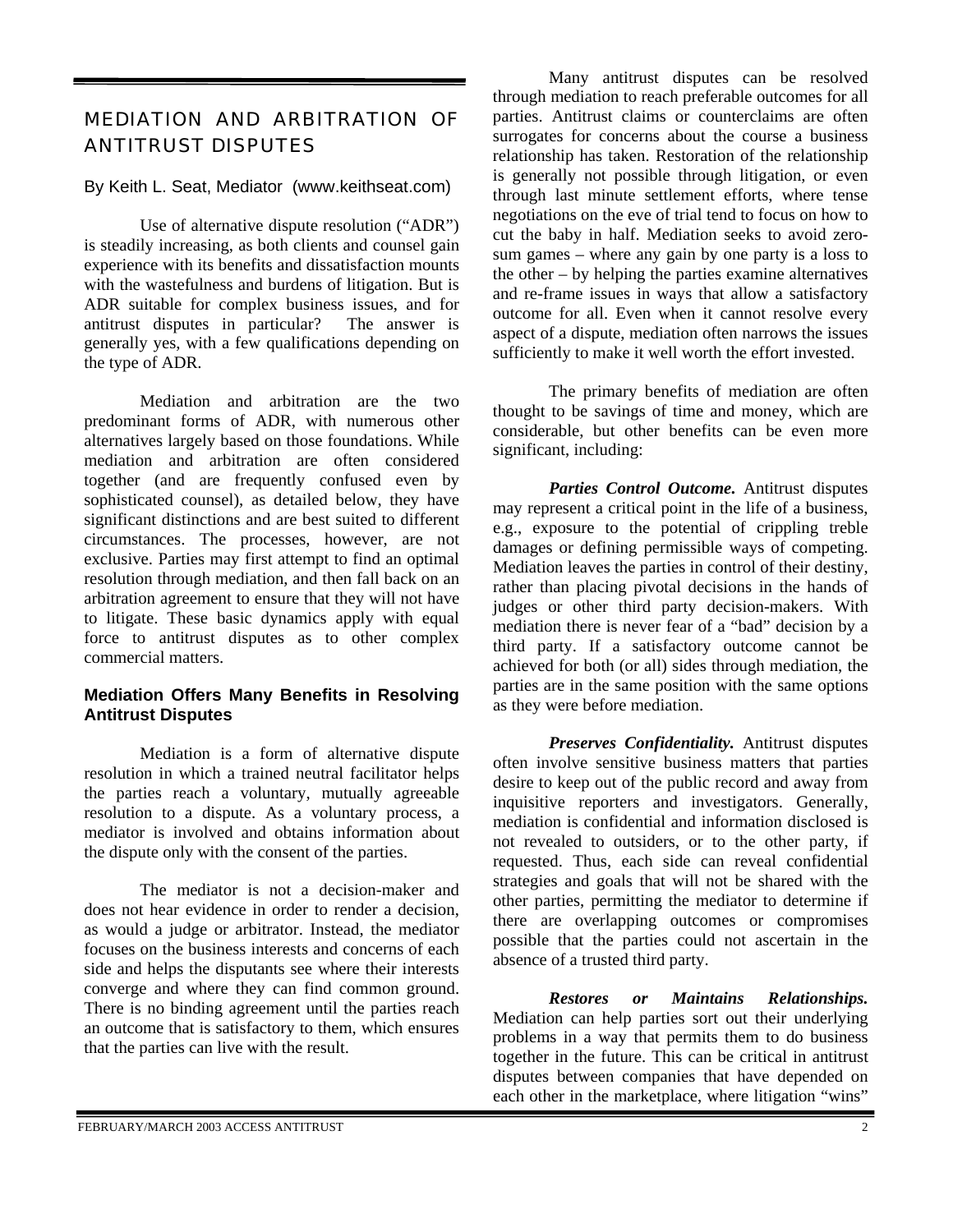# MEDIATION AND ARBITRATION OF ANTITRUST DISPUTES

## By Keith L. Seat, Mediator (www.keithseat.com)

Use of alternative dispute resolution ("ADR") is steadily increasing, as both clients and counsel gain experience with its benefits and dissatisfaction mounts with the wastefulness and burdens of litigation. But is ADR suitable for complex business issues, and for antitrust disputes in particular? The answer is generally yes, with a few qualifications depending on the type of ADR.

Mediation and arbitration are the two predominant forms of ADR, with numerous other alternatives largely based on those foundations. While mediation and arbitration are often considered together (and are frequently confused even by sophisticated counsel), as detailed below, they have significant distinctions and are best suited to different circumstances. The processes, however, are not exclusive. Parties may first attempt to find an optimal resolution through mediation, and then fall back on an arbitration agreement to ensure that they will not have to litigate. These basic dynamics apply with equal force to antitrust disputes as to other complex commercial matters.

#### **Mediation Offers Many Benefits in Resolving Antitrust Disputes**

Mediation is a form of alternative dispute resolution in which a trained neutral facilitator helps the parties reach a voluntary, mutually agreeable resolution to a dispute. As a voluntary process, a mediator is involved and obtains information about the dispute only with the consent of the parties.

The mediator is not a decision-maker and does not hear evidence in order to render a decision, as would a judge or arbitrator. Instead, the mediator focuses on the business interests and concerns of each side and helps the disputants see where their interests converge and where they can find common ground. There is no binding agreement until the parties reach an outcome that is satisfactory to them, which ensures that the parties can live with the result.

Many antitrust disputes can be resolved through mediation to reach preferable outcomes for all parties. Antitrust claims or counterclaims are often surrogates for concerns about the course a business relationship has taken. Restoration of the relationship is generally not possible through litigation, or even through last minute settlement efforts, where tense negotiations on the eve of trial tend to focus on how to cut the baby in half. Mediation seeks to avoid zerosum games – where any gain by one party is a loss to the other – by helping the parties examine alternatives and re-frame issues in ways that allow a satisfactory outcome for all. Even when it cannot resolve every aspect of a dispute, mediation often narrows the issues sufficiently to make it well worth the effort invested.

The primary benefits of mediation are often thought to be savings of time and money, which are considerable, but other benefits can be even more significant, including:

*Parties Control Outcome.* Antitrust disputes may represent a critical point in the life of a business, e.g., exposure to the potential of crippling treble damages or defining permissible ways of competing. Mediation leaves the parties in control of their destiny, rather than placing pivotal decisions in the hands of judges or other third party decision-makers. With mediation there is never fear of a "bad" decision by a third party. If a satisfactory outcome cannot be achieved for both (or all) sides through mediation, the parties are in the same position with the same options as they were before mediation.

*Preserves Confidentiality.* Antitrust disputes often involve sensitive business matters that parties desire to keep out of the public record and away from inquisitive reporters and investigators. Generally, mediation is confidential and information disclosed is not revealed to outsiders, or to the other party, if requested. Thus, each side can reveal confidential strategies and goals that will not be shared with the other parties, permitting the mediator to determine if there are overlapping outcomes or compromises possible that the parties could not ascertain in the absence of a trusted third party.

*Restores or Maintains Relationships.*  Mediation can help parties sort out their underlying problems in a way that permits them to do business together in the future. This can be critical in antitrust disputes between companies that have depended on each other in the marketplace, where litigation "wins"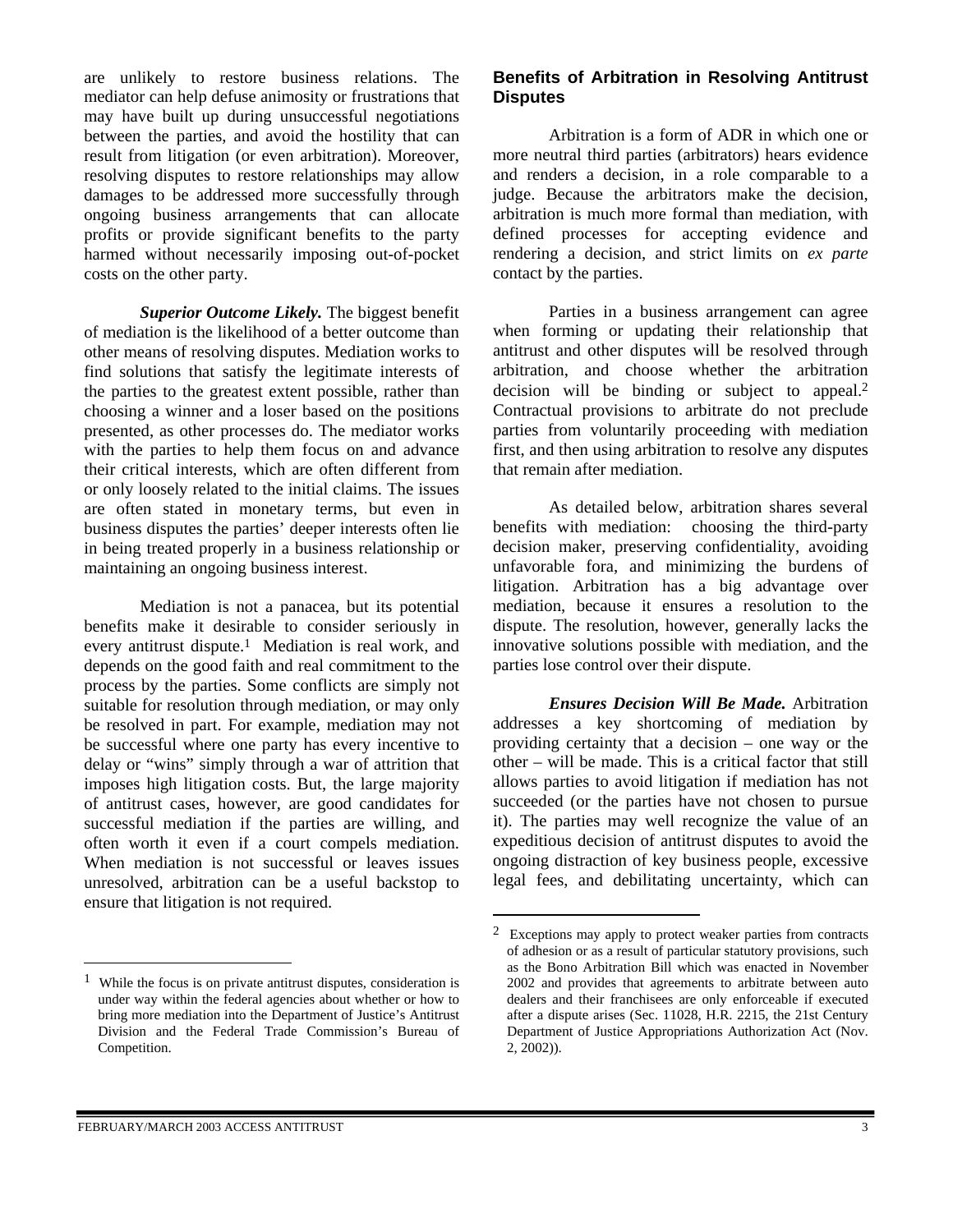are unlikely to restore business relations. The mediator can help defuse animosity or frustrations that may have built up during unsuccessful negotiations between the parties, and avoid the hostility that can result from litigation (or even arbitration). Moreover, resolving disputes to restore relationships may allow damages to be addressed more successfully through ongoing business arrangements that can allocate profits or provide significant benefits to the party harmed without necessarily imposing out-of-pocket costs on the other party.

*Superior Outcome Likely.* The biggest benefit of mediation is the likelihood of a better outcome than other means of resolving disputes. Mediation works to find solutions that satisfy the legitimate interests of the parties to the greatest extent possible, rather than choosing a winner and a loser based on the positions presented, as other processes do. The mediator works with the parties to help them focus on and advance their critical interests, which are often different from or only loosely related to the initial claims. The issues are often stated in monetary terms, but even in business disputes the parties' deeper interests often lie in being treated properly in a business relationship or maintaining an ongoing business interest.

Mediation is not a panacea, but its potential benefits make it desirable to consider seriously in every antitrust dispute.<sup>1</sup> Mediation is real work, and depends on the good faith and real commitment to the process by the parties. Some conflicts are simply not suitable for resolution through mediation, or may only be resolved in part. For example, mediation may not be successful where one party has every incentive to delay or "wins" simply through a war of attrition that imposes high litigation costs. But, the large majority of antitrust cases, however, are good candidates for successful mediation if the parties are willing, and often worth it even if a court compels mediation. When mediation is not successful or leaves issues unresolved, arbitration can be a useful backstop to ensure that litigation is not required.

# **Benefits of Arbitration in Resolving Antitrust Disputes**

Arbitration is a form of ADR in which one or more neutral third parties (arbitrators) hears evidence and renders a decision, in a role comparable to a judge. Because the arbitrators make the decision, arbitration is much more formal than mediation, with defined processes for accepting evidence and rendering a decision, and strict limits on *ex parte* contact by the parties.

Parties in a business arrangement can agree when forming or updating their relationship that antitrust and other disputes will be resolved through arbitration, and choose whether the arbitration decision will be binding or subject to appeal[.2](#page-2-1)  Contractual provisions to arbitrate do not preclude parties from voluntarily proceeding with mediation first, and then using arbitration to resolve any disputes that remain after mediation.

As detailed below, arbitration shares several benefits with mediation: choosing the third-party decision maker, preserving confidentiality, avoiding unfavorable fora, and minimizing the burdens of litigation. Arbitration has a big advantage over mediation, because it ensures a resolution to the dispute. The resolution, however, generally lacks the innovative solutions possible with mediation, and the parties lose control over their dispute.

*Ensures Decision Will Be Made.* Arbitration addresses a key shortcoming of mediation by providing certainty that a decision – one way or the other – will be made. This is a critical factor that still allows parties to avoid litigation if mediation has not succeeded (or the parties have not chosen to pursue it). The parties may well recognize the value of an expeditious decision of antitrust disputes to avoid the ongoing distraction of key business people, excessive legal fees, and debilitating uncertainty, which can

 $\overline{a}$ 

 $\overline{a}$ 

<span id="page-2-0"></span>While the focus is on private antitrust disputes, consideration is under way within the federal agencies about whether or how to bring more mediation into the Department of Justice's Antitrust Division and the Federal Trade Commission's Bureau of Competition.

<span id="page-2-1"></span><sup>2</sup> Exceptions may apply to protect weaker parties from contracts of adhesion or as a result of particular statutory provisions, such as the Bono Arbitration Bill which was enacted in November 2002 and provides that agreements to arbitrate between auto dealers and their franchisees are only enforceable if executed after a dispute arises (Sec. 11028, H.R. 2215, the 21st Century Department of Justice Appropriations Authorization Act (Nov. 2, 2002)).